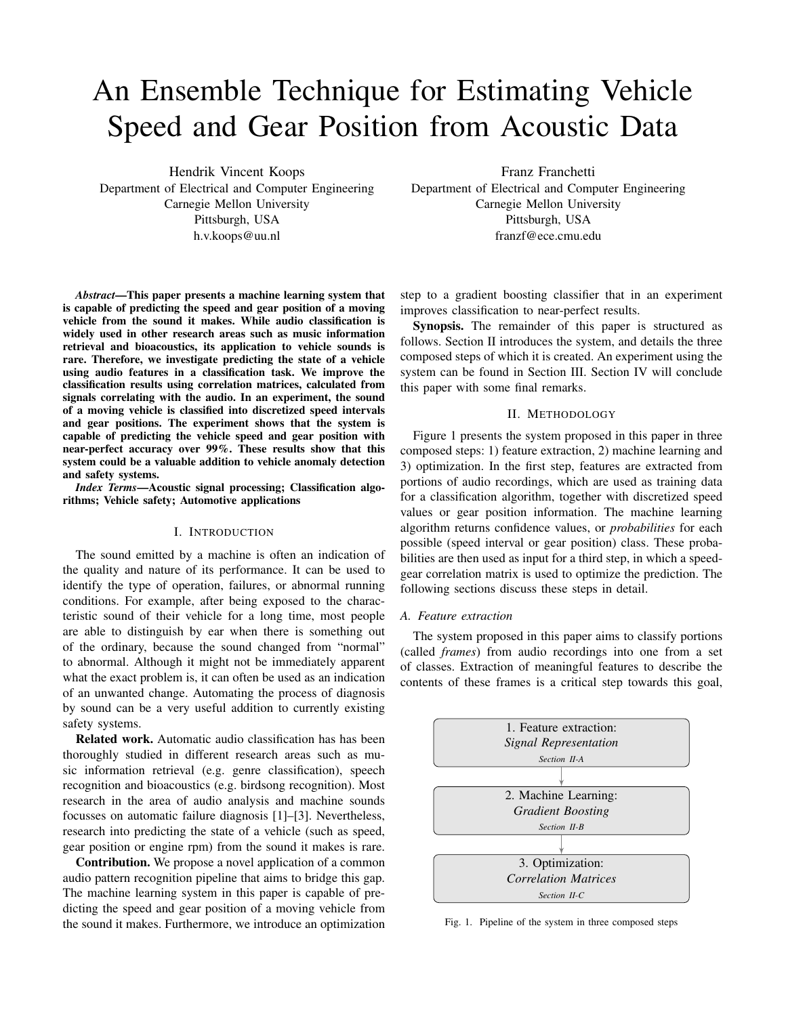# An Ensemble Technique for Estimating Vehicle Speed and Gear Position from Acoustic Data

Hendrik Vincent Koops Department of Electrical and Computer Engineering Carnegie Mellon University Pittsburgh, USA h.v.koops@uu.nl

*Abstract*—This paper presents a machine learning system that is capable of predicting the speed and gear position of a moving vehicle from the sound it makes. While audio classification is widely used in other research areas such as music information retrieval and bioacoustics, its application to vehicle sounds is rare. Therefore, we investigate predicting the state of a vehicle using audio features in a classification task. We improve the classification results using correlation matrices, calculated from signals correlating with the audio. In an experiment, the sound of a moving vehicle is classified into discretized speed intervals and gear positions. The experiment shows that the system is capable of predicting the vehicle speed and gear position with near-perfect accuracy over 99%. These results show that this system could be a valuable addition to vehicle anomaly detection and safety systems.

*Index Terms*—Acoustic signal processing; Classification algorithms; Vehicle safety; Automotive applications

# I. INTRODUCTION

The sound emitted by a machine is often an indication of the quality and nature of its performance. It can be used to identify the type of operation, failures, or abnormal running conditions. For example, after being exposed to the characteristic sound of their vehicle for a long time, most people are able to distinguish by ear when there is something out of the ordinary, because the sound changed from "normal" to abnormal. Although it might not be immediately apparent what the exact problem is, it can often be used as an indication of an unwanted change. Automating the process of diagnosis by sound can be a very useful addition to currently existing safety systems.

Related work. Automatic audio classification has has been thoroughly studied in different research areas such as music information retrieval (e.g. genre classification), speech recognition and bioacoustics (e.g. birdsong recognition). Most research in the area of audio analysis and machine sounds focusses on automatic failure diagnosis [1]–[3]. Nevertheless, research into predicting the state of a vehicle (such as speed, gear position or engine rpm) from the sound it makes is rare.

Contribution. We propose a novel application of a common audio pattern recognition pipeline that aims to bridge this gap. The machine learning system in this paper is capable of predicting the speed and gear position of a moving vehicle from the sound it makes. Furthermore, we introduce an optimization

Franz Franchetti Department of Electrical and Computer Engineering Carnegie Mellon University Pittsburgh, USA franzf@ece.cmu.edu

step to a gradient boosting classifier that in an experiment improves classification to near-perfect results.

Synopsis. The remainder of this paper is structured as follows. Section II introduces the system, and details the three composed steps of which it is created. An experiment using the system can be found in Section III. Section IV will conclude this paper with some final remarks.

## II. METHODOLOGY

Figure 1 presents the system proposed in this paper in three composed steps: 1) feature extraction, 2) machine learning and 3) optimization. In the first step, features are extracted from portions of audio recordings, which are used as training data for a classification algorithm, together with discretized speed values or gear position information. The machine learning algorithm returns confidence values, or *probabilities* for each possible (speed interval or gear position) class. These probabilities are then used as input for a third step, in which a speedgear correlation matrix is used to optimize the prediction. The following sections discuss these steps in detail.

### *A. Feature extraction*

The system proposed in this paper aims to classify portions (called *frames*) from audio recordings into one from a set of classes. Extraction of meaningful features to describe the contents of these frames is a critical step towards this goal,



Fig. 1. Pipeline of the system in three composed steps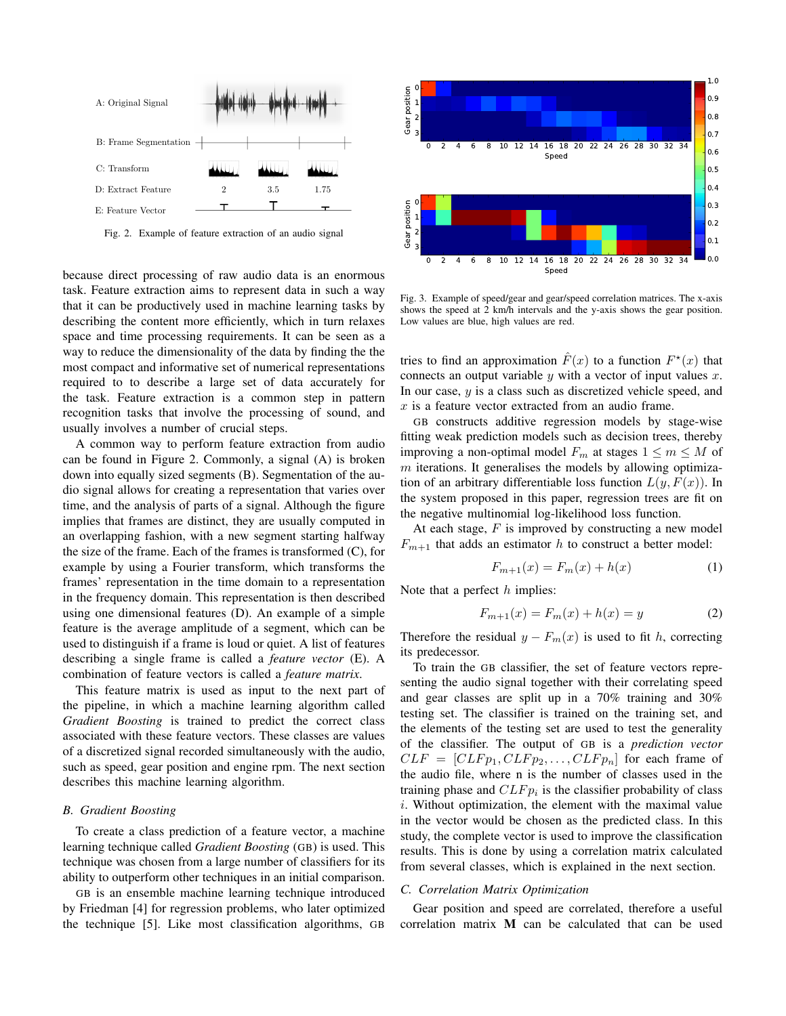

Fig. 2. Example of feature extraction of an audio signal

because direct processing of raw audio data is an enormous task. Feature extraction aims to represent data in such a way that it can be productively used in machine learning tasks by describing the content more efficiently, which in turn relaxes space and time processing requirements. It can be seen as a way to reduce the dimensionality of the data by finding the the most compact and informative set of numerical representations required to to describe a large set of data accurately for the task. Feature extraction is a common step in pattern recognition tasks that involve the processing of sound, and usually involves a number of crucial steps.

A common way to perform feature extraction from audio can be found in Figure 2. Commonly, a signal (A) is broken down into equally sized segments (B). Segmentation of the audio signal allows for creating a representation that varies over time, and the analysis of parts of a signal. Although the figure implies that frames are distinct, they are usually computed in an overlapping fashion, with a new segment starting halfway the size of the frame. Each of the frames is transformed (C), for example by using a Fourier transform, which transforms the frames' representation in the time domain to a representation in the frequency domain. This representation is then described using one dimensional features (D). An example of a simple feature is the average amplitude of a segment, which can be used to distinguish if a frame is loud or quiet. A list of features describing a single frame is called a *feature vector* (E). A combination of feature vectors is called a *feature matrix*.

This feature matrix is used as input to the next part of the pipeline, in which a machine learning algorithm called *Gradient Boosting* is trained to predict the correct class associated with these feature vectors. These classes are values of a discretized signal recorded simultaneously with the audio, such as speed, gear position and engine rpm. The next section describes this machine learning algorithm.

## *B. Gradient Boosting*

To create a class prediction of a feature vector, a machine learning technique called *Gradient Boosting* (GB) is used. This technique was chosen from a large number of classifiers for its ability to outperform other techniques in an initial comparison.

GB is an ensemble machine learning technique introduced by Friedman [4] for regression problems, who later optimized the technique [5]. Like most classification algorithms, GB



Fig. 3. Example of speed/gear and gear/speed correlation matrices. The x-axis shows the speed at 2 km/h intervals and the y-axis shows the gear position. Low values are blue, high values are red.

tries to find an approximation  $\hat{F}(x)$  to a function  $F^*(x)$  that connects an output variable  $y$  with a vector of input values  $x$ . In our case, y is a class such as discretized vehicle speed, and x is a feature vector extracted from an audio frame.

GB constructs additive regression models by stage-wise fitting weak prediction models such as decision trees, thereby improving a non-optimal model  $F_m$  at stages  $1 \le m \le M$  of  $m$  iterations. It generalises the models by allowing optimization of an arbitrary differentiable loss function  $L(y, F(x))$ . In the system proposed in this paper, regression trees are fit on the negative multinomial log-likelihood loss function.

At each stage,  $F$  is improved by constructing a new model  $F_{m+1}$  that adds an estimator h to construct a better model:

$$
F_{m+1}(x) = F_m(x) + h(x)
$$
 (1)

Note that a perfect  $h$  implies:

$$
F_{m+1}(x) = F_m(x) + h(x) = y \tag{2}
$$

Therefore the residual  $y - F_m(x)$  is used to fit h, correcting its predecessor.

To train the GB classifier, the set of feature vectors representing the audio signal together with their correlating speed and gear classes are split up in a 70% training and 30% testing set. The classifier is trained on the training set, and the elements of the testing set are used to test the generality of the classifier. The output of GB is a *prediction vector*  $CLF = [CLFp_1, CLFp_2, \ldots, CLFp_n]$  for each frame of the audio file, where n is the number of classes used in the training phase and  $CLF_{pi}$  is the classifier probability of class i. Without optimization, the element with the maximal value in the vector would be chosen as the predicted class. In this study, the complete vector is used to improve the classification results. This is done by using a correlation matrix calculated from several classes, which is explained in the next section.

## *C. Correlation Matrix Optimization*

Gear position and speed are correlated, therefore a useful correlation matrix M can be calculated that can be used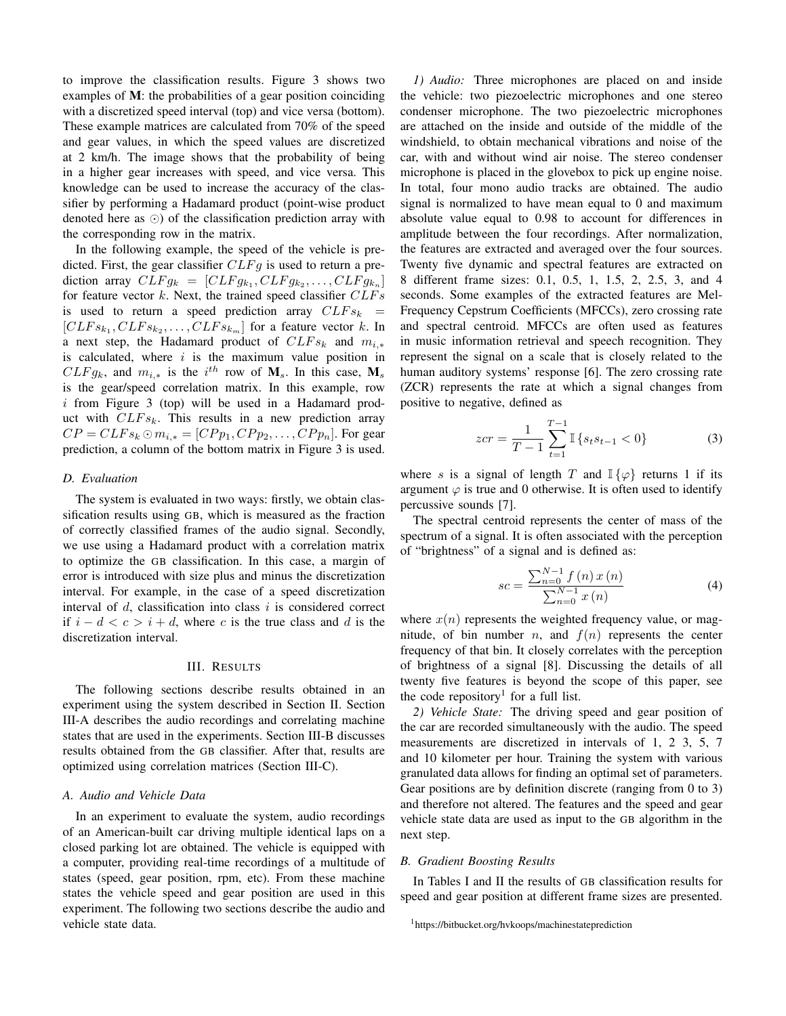to improve the classification results. Figure 3 shows two examples of M: the probabilities of a gear position coinciding with a discretized speed interval (top) and vice versa (bottom). These example matrices are calculated from 70% of the speed and gear values, in which the speed values are discretized at 2 km/h. The image shows that the probability of being in a higher gear increases with speed, and vice versa. This knowledge can be used to increase the accuracy of the classifier by performing a Hadamard product (point-wise product denoted here as  $\odot$ ) of the classification prediction array with the corresponding row in the matrix.

In the following example, the speed of the vehicle is predicted. First, the gear classifier  $CLFg$  is used to return a prediction array  $CLFg_k = [CLFg_{k_1}, CLFg_{k_2}, \ldots, CLFg_{k_n}]$ for feature vector  $k$ . Next, the trained speed classifier  $CLFs$ is used to return a speed prediction array  $CLFs_k =$  $[CLFs_{k_1}, CLFs_{k_2}, \ldots, CLFs_{k_m}]$  for a feature vector k. In a next step, the Hadamard product of  $CLFs_k$  and  $m_{i,*}$ is calculated, where  $i$  is the maximum value position in  $CLFg_k$ , and  $m_{i,*}$  is the  $i^{th}$  row of  $M_s$ . In this case,  $M_s$ is the gear/speed correlation matrix. In this example, row  $i$  from Figure 3 (top) will be used in a Hadamard product with  $CLFs_k$ . This results in a new prediction array  $CP = CLFs_k \odot m_{i,*} = [CPp_1, CPp_2, \ldots, CPp_n]$ . For gear prediction, a column of the bottom matrix in Figure 3 is used.

# *D. Evaluation*

The system is evaluated in two ways: firstly, we obtain classification results using GB, which is measured as the fraction of correctly classified frames of the audio signal. Secondly, we use using a Hadamard product with a correlation matrix to optimize the GB classification. In this case, a margin of error is introduced with size plus and minus the discretization interval. For example, in the case of a speed discretization interval of  $d$ , classification into class  $i$  is considered correct if  $i - d < c > i + d$ , where c is the true class and d is the discretization interval.

#### III. RESULTS

The following sections describe results obtained in an experiment using the system described in Section II. Section III-A describes the audio recordings and correlating machine states that are used in the experiments. Section III-B discusses results obtained from the GB classifier. After that, results are optimized using correlation matrices (Section III-C).

# *A. Audio and Vehicle Data*

In an experiment to evaluate the system, audio recordings of an American-built car driving multiple identical laps on a closed parking lot are obtained. The vehicle is equipped with a computer, providing real-time recordings of a multitude of states (speed, gear position, rpm, etc). From these machine states the vehicle speed and gear position are used in this experiment. The following two sections describe the audio and vehicle state data.

*1) Audio:* Three microphones are placed on and inside the vehicle: two piezoelectric microphones and one stereo condenser microphone. The two piezoelectric microphones are attached on the inside and outside of the middle of the windshield, to obtain mechanical vibrations and noise of the car, with and without wind air noise. The stereo condenser microphone is placed in the glovebox to pick up engine noise. In total, four mono audio tracks are obtained. The audio signal is normalized to have mean equal to 0 and maximum absolute value equal to 0.98 to account for differences in amplitude between the four recordings. After normalization, the features are extracted and averaged over the four sources. Twenty five dynamic and spectral features are extracted on 8 different frame sizes: 0.1, 0.5, 1, 1.5, 2, 2.5, 3, and 4 seconds. Some examples of the extracted features are Mel-Frequency Cepstrum Coefficients (MFCCs), zero crossing rate and spectral centroid. MFCCs are often used as features in music information retrieval and speech recognition. They represent the signal on a scale that is closely related to the human auditory systems' response [6]. The zero crossing rate (ZCR) represents the rate at which a signal changes from positive to negative, defined as

$$
zcr = \frac{1}{T-1} \sum_{t=1}^{T-1} \mathbb{I} \left\{ s_t s_{t-1} < 0 \right\} \tag{3}
$$

where s is a signal of length T and  $\mathbb{I}\{\varphi\}$  returns 1 if its argument  $\varphi$  is true and 0 otherwise. It is often used to identify percussive sounds [7].

The spectral centroid represents the center of mass of the spectrum of a signal. It is often associated with the perception of "brightness" of a signal and is defined as:

$$
sc = \frac{\sum_{n=0}^{N-1} f(n) x(n)}{\sum_{n=0}^{N-1} x(n)} \tag{4}
$$

where  $x(n)$  represents the weighted frequency value, or magnitude, of bin number *n*, and  $f(n)$  represents the center frequency of that bin. It closely correlates with the perception of brightness of a signal [8]. Discussing the details of all twenty five features is beyond the scope of this paper, see the code repository<sup>1</sup> for a full list.

*2) Vehicle State:* The driving speed and gear position of the car are recorded simultaneously with the audio. The speed measurements are discretized in intervals of 1, 2 3, 5, 7 and 10 kilometer per hour. Training the system with various granulated data allows for finding an optimal set of parameters. Gear positions are by definition discrete (ranging from 0 to 3) and therefore not altered. The features and the speed and gear vehicle state data are used as input to the GB algorithm in the next step.

# *B. Gradient Boosting Results*

In Tables I and II the results of GB classification results for speed and gear position at different frame sizes are presented.

<sup>1</sup>https://bitbucket.org/hvkoops/machinestateprediction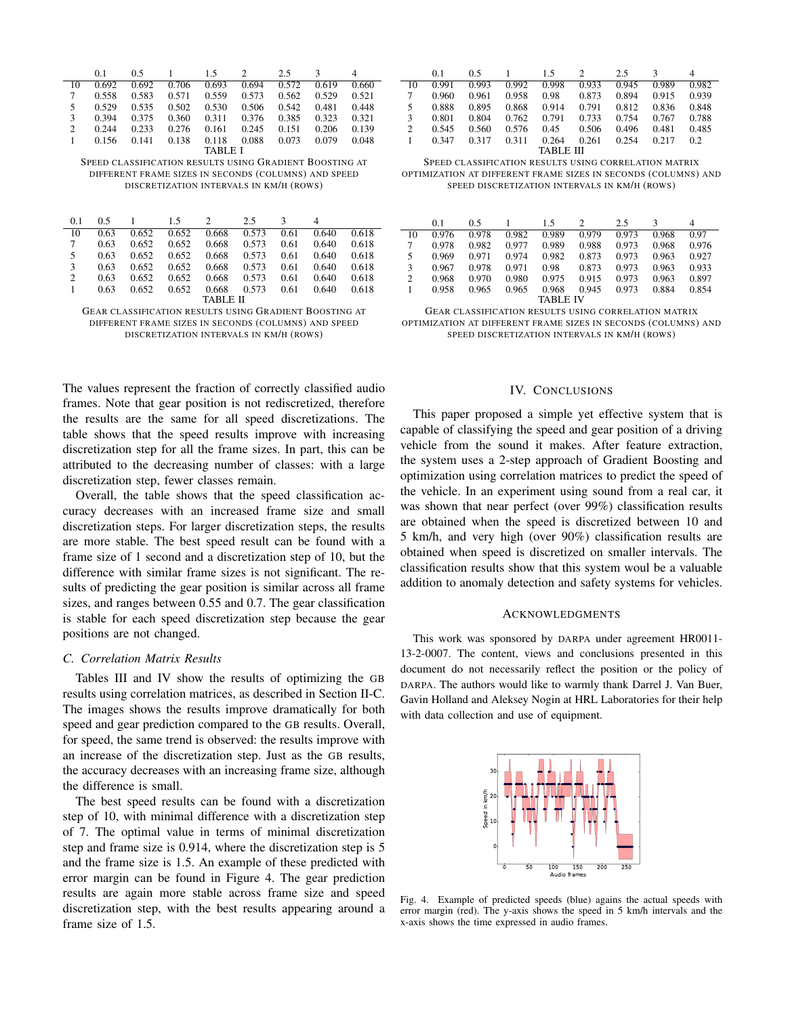|         | 0.1   | 0.5   |       | 15    | $\mathcal{D}$ | 2.5   |       |       |
|---------|-------|-------|-------|-------|---------------|-------|-------|-------|
| 10      | 0.692 | 0.692 | 0.706 | 0.693 | 0.694         | 0.572 | 0.619 | 0.660 |
|         | 0.558 | 0.583 | 0.571 | 0.559 | 0.573         | 0.562 | 0.529 | 0.521 |
| 5       | 0.529 | 0.535 | 0.502 | 0.530 | 0.506         | 0.542 | 0.481 | 0.448 |
| 3       | 0.394 | 0.375 | 0.360 | 0.311 | 0.376         | 0.385 | 0.323 | 0.321 |
| 2       | 0.244 | 0.233 | 0.276 | 0.161 | 0.245         | 0.151 | 0.206 | 0.139 |
|         | 0.156 | 0.141 | 0.138 | 0.118 | 0.088         | 0.073 | 0.079 | 0.048 |
| TABLE I |       |       |       |       |               |       |       |       |

SPEED CLASSIFICATION RESULTS USING GRADIENT BOOSTING AT DIFFERENT FRAME SIZES IN SECONDS (COLUMNS) AND SPEED DISCRETIZATION INTERVALS IN KM/H (ROWS)

| 0.1      | 0.5  |       | 1.5   |       | 2.5   |      |       |       |
|----------|------|-------|-------|-------|-------|------|-------|-------|
| 10       | 0.63 | 0.652 | 0.652 | 0.668 | 0.573 | 0.61 | 0.640 | 0.618 |
| 7        | 0.63 | 0.652 | 0.652 | 0.668 | 0.573 | 0.61 | 0.640 | 0.618 |
| 5        | 0.63 | 0.652 | 0.652 | 0.668 | 0.573 | 0.61 | 0.640 | 0.618 |
| 3        | 0.63 | 0.652 | 0.652 | 0.668 | 0.573 | 0.61 | 0.640 | 0.618 |
| 2        | 0.63 | 0.652 | 0.652 | 0.668 | 0.573 | 0.61 | 0.640 | 0.618 |
|          | 0.63 | 0.652 | 0.652 | 0.668 | 0.573 | 0.61 | 0.640 | 0.618 |
| TABLE II |      |       |       |       |       |      |       |       |

GEAR CLASSIFICATION RESULTS USING GRADIENT BOOSTING AT DIFFERENT FRAME SIZES IN SECONDS (COLUMNS) AND SPEED DISCRETIZATION INTERVALS IN KM/H (ROWS)

The values represent the fraction of correctly classified audio frames. Note that gear position is not rediscretized, therefore the results are the same for all speed discretizations. The table shows that the speed results improve with increasing discretization step for all the frame sizes. In part, this can be attributed to the decreasing number of classes: with a large discretization step, fewer classes remain.

Overall, the table shows that the speed classification accuracy decreases with an increased frame size and small discretization steps. For larger discretization steps, the results are more stable. The best speed result can be found with a frame size of 1 second and a discretization step of 10, but the difference with similar frame sizes is not significant. The results of predicting the gear position is similar across all frame sizes, and ranges between 0.55 and 0.7. The gear classification is stable for each speed discretization step because the gear positions are not changed.

# *C. Correlation Matrix Results*

Tables III and IV show the results of optimizing the GB results using correlation matrices, as described in Section II-C. The images shows the results improve dramatically for both speed and gear prediction compared to the GB results. Overall, for speed, the same trend is observed: the results improve with an increase of the discretization step. Just as the GB results, the accuracy decreases with an increasing frame size, although the difference is small.

The best speed results can be found with a discretization step of 10, with minimal difference with a discretization step of 7. The optimal value in terms of minimal discretization step and frame size is 0.914, where the discretization step is 5 and the frame size is 1.5. An example of these predicted with error margin can be found in Figure 4. The gear prediction results are again more stable across frame size and speed discretization step, with the best results appearing around a frame size of 1.5.

|                | 0.1     | 0.5   |       | 15    | $\mathcal{P}$ | 2.5   |       | 4     |  |
|----------------|---------|-------|-------|-------|---------------|-------|-------|-------|--|
| 10             | 0.991   | 0.993 | 0.992 | 0.998 | 0.933         | 0.945 | 0.989 | 0.982 |  |
| 7              | 0.960   | 0.961 | 0.958 | 0.98  | 0.873         | 0.894 | 0.915 | 0.939 |  |
| 5              | 0.888   | 0.895 | 0.868 | 0.914 | 0.791         | 0.812 | 0.836 | 0.848 |  |
| 3              | 0.801   | 0.804 | 0.762 | 0.791 | 0.733         | 0.754 | 0.767 | 0.788 |  |
| $\overline{2}$ | 0.545   | 0.560 | 0.576 | 0.45  | 0.506         | 0.496 | 0.481 | 0.485 |  |
|                | 0 3 4 7 | 0.317 | 0.311 | 0.264 | 0.261         | 0.254 | 0.217 | 0.2   |  |
| TABLE III      |         |       |       |       |               |       |       |       |  |

SPEED CLASSIFICATION RESULTS USING CORRELATION MATRIX OPTIMIZATION AT DIFFERENT FRAME SIZES IN SECONDS (COLUMNS) AND SPEED DISCRETIZATION INTERVALS IN KM/H (ROWS)

|                 | 0.1   | 0.5   |       | 15    | $\mathcal{D}$ | 2.5   | ٩     | 4     |
|-----------------|-------|-------|-------|-------|---------------|-------|-------|-------|
| 10              | 0.976 | 0.978 | 0.982 | 0.989 | 0.979         | 0.973 | 0.968 | 0.97  |
| 7               | 0.978 | 0.982 | 0.977 | 0.989 | 0.988         | 0.973 | 0.968 | 0.976 |
| 5               | 0.969 | 0.971 | 0.974 | 0.982 | 0.873         | 0.973 | 0.963 | 0.927 |
| 3               | 0.967 | 0.978 | 0.971 | 0.98  | 0.873         | 0.973 | 0.963 | 0.933 |
| 2               | 0.968 | 0.970 | 0.980 | 0.975 | 0.915         | 0.973 | 0.963 | 0.897 |
|                 | 0.958 | 0.965 | 0.965 | 0.968 | 0.945         | 0.973 | 0.884 | 0.854 |
| <b>TABLE IV</b> |       |       |       |       |               |       |       |       |

GEAR CLASSIFICATION RESULTS USING CORRELATION MATRIX OPTIMIZATION AT DIFFERENT FRAME SIZES IN SECONDS (COLUMNS) AND SPEED DISCRETIZATION INTERVALS IN KM/H (ROWS)

# IV. CONCLUSIONS

This paper proposed a simple yet effective system that is capable of classifying the speed and gear position of a driving vehicle from the sound it makes. After feature extraction, the system uses a 2-step approach of Gradient Boosting and optimization using correlation matrices to predict the speed of the vehicle. In an experiment using sound from a real car, it was shown that near perfect (over 99%) classification results are obtained when the speed is discretized between 10 and 5 km/h, and very high (over 90%) classification results are obtained when speed is discretized on smaller intervals. The classification results show that this system woul be a valuable addition to anomaly detection and safety systems for vehicles.

# ACKNOWLEDGMENTS

This work was sponsored by DARPA under agreement HR0011- 13-2-0007. The content, views and conclusions presented in this document do not necessarily reflect the position or the policy of DARPA. The authors would like to warmly thank Darrel J. Van Buer, Gavin Holland and Aleksey Nogin at HRL Laboratories for their help with data collection and use of equipment.



Fig. 4. Example of predicted speeds (blue) agains the actual speeds with error margin (red). The y-axis shows the speed in 5 km/h intervals and the x-axis shows the time expressed in audio frames.